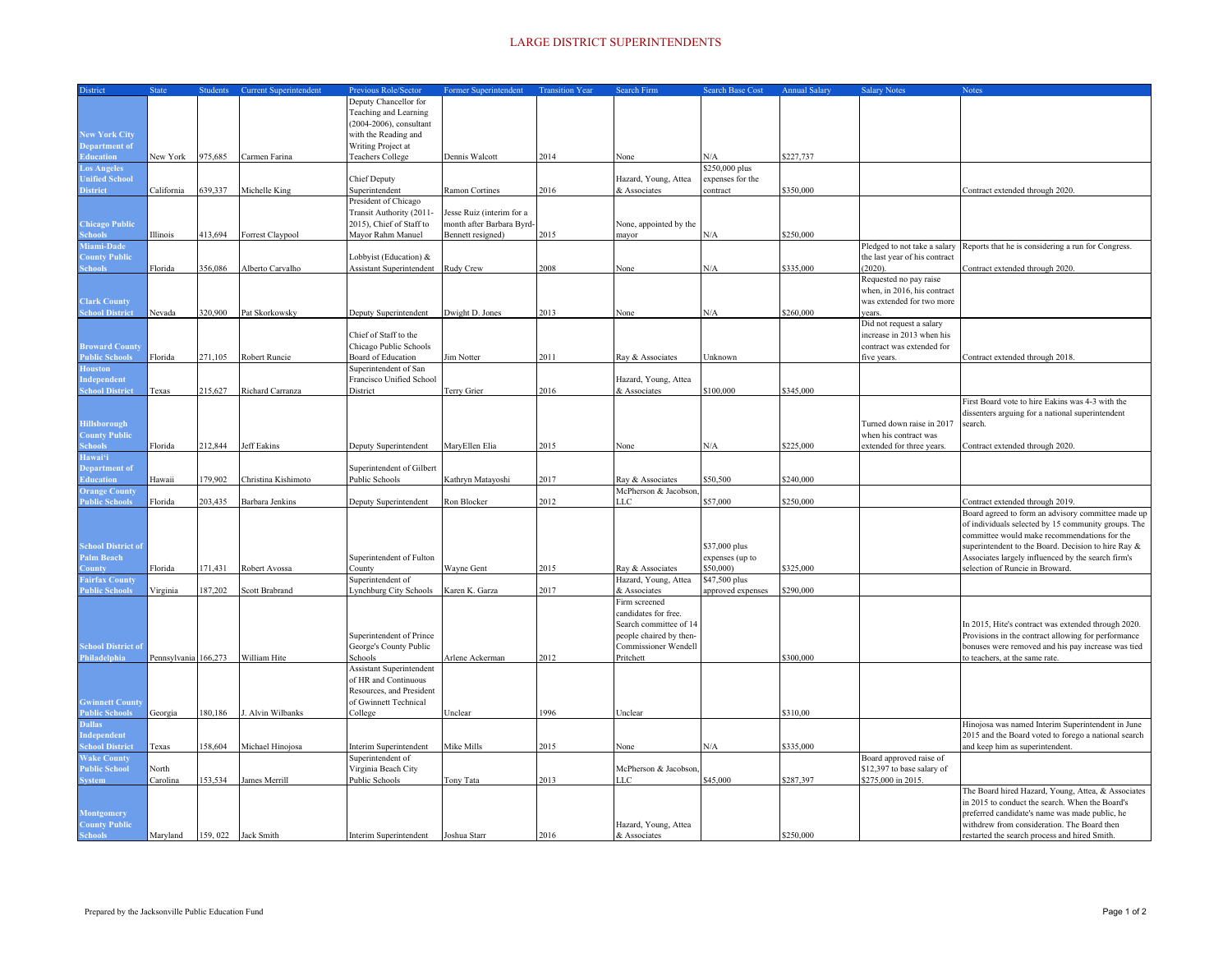## LARGE DISTRICT SUPERINTENDENTS

| District                         | <b>State</b>         | <b>Students</b>     | <b>Current Superintendent</b> | Previous Role/Sector            | Former Superintendent     | <b>Transition Year</b> | Search Firm             | <b>Search Base Cost</b>      | <b>Annual Salary</b> | <b>Salary Notes</b>           |                                                                                                   |
|----------------------------------|----------------------|---------------------|-------------------------------|---------------------------------|---------------------------|------------------------|-------------------------|------------------------------|----------------------|-------------------------------|---------------------------------------------------------------------------------------------------|
|                                  |                      |                     |                               |                                 |                           |                        |                         |                              |                      |                               | Notes                                                                                             |
|                                  |                      |                     |                               | Deputy Chancellor for           |                           |                        |                         |                              |                      |                               |                                                                                                   |
|                                  |                      |                     |                               | Teaching and Learning           |                           |                        |                         |                              |                      |                               |                                                                                                   |
|                                  |                      |                     |                               | (2004-2006), consultant         |                           |                        |                         |                              |                      |                               |                                                                                                   |
| <b>New York City</b>             |                      |                     |                               | with the Reading and            |                           |                        |                         |                              |                      |                               |                                                                                                   |
| Department of                    |                      |                     |                               | Writing Project at              |                           |                        |                         |                              |                      |                               |                                                                                                   |
| <b>Education</b>                 | New York             | 975,685             | Carmen Farina                 | <b>Teachers College</b>         | Dennis Walcott            | 2014                   | None                    | N/A                          | \$227,737            |                               |                                                                                                   |
| <b>Los Angeles</b>               |                      |                     |                               |                                 |                           |                        |                         | \$250,000 plus               |                      |                               |                                                                                                   |
| <b>Unified School</b>            |                      |                     |                               | Chief Deputy                    |                           |                        | Hazard, Young, Attea    | expenses for the             |                      |                               |                                                                                                   |
| <b>District</b>                  | California           | 539,337             | Michelle King                 | Superintendent                  | Ramon Cortines            | 2016                   | & Associates            | ontract                      | \$350,000            |                               | Contract extended through 2020.                                                                   |
|                                  |                      |                     |                               | President of Chicago            |                           |                        |                         |                              |                      |                               |                                                                                                   |
|                                  |                      |                     |                               | Transit Authority (2011-        | Jesse Ruiz (interim for a |                        |                         |                              |                      |                               |                                                                                                   |
| <b>Chicago Public</b>            |                      |                     |                               | 2015), Chief of Staff to        | month after Barbara Byrd- |                        | None, appointed by the  |                              |                      |                               |                                                                                                   |
| <b>Schools</b>                   | Illinois             | 413.694             | Forrest Claypool              | Mayor Rahm Manuel               | Bennett resigned)         | 2015                   | mayor                   | N/A                          | \$250,000            |                               |                                                                                                   |
| Miami-Dade                       |                      |                     |                               |                                 |                           |                        |                         |                              |                      | Pledged to not take a salary  | Reports that he is considering a run for Congress.                                                |
| <b>County Public</b>             |                      |                     |                               | Lobbyist (Education) &          |                           |                        |                         |                              |                      | the last year of his contract |                                                                                                   |
| <b>Schools</b>                   | Florida              | 356,086             | Alberto Carvalho              | Assistant Superintendent        | Rudy Crew                 | 2008                   | None                    | N/A                          | \$335,000            | (2020)                        | Contract extended through 2020.                                                                   |
|                                  |                      |                     |                               |                                 |                           |                        |                         |                              |                      | Requested no pay raise        |                                                                                                   |
|                                  |                      |                     |                               |                                 |                           |                        |                         |                              |                      | when, in 2016, his contract   |                                                                                                   |
| <b>Clark County</b>              |                      |                     |                               |                                 |                           |                        |                         |                              |                      | was extended for two more     |                                                                                                   |
| <b>School District</b>           | Nevada               | 320,900             | Pat Skorkowsky                | Deputy Superintendent           | Dwight D. Jones           | 2013                   | Vone                    | N/A                          | \$260,000            | ears.                         |                                                                                                   |
|                                  |                      |                     |                               |                                 |                           |                        |                         |                              |                      |                               |                                                                                                   |
|                                  |                      |                     |                               |                                 |                           |                        |                         |                              |                      | Did not request a salary      |                                                                                                   |
|                                  |                      |                     |                               | Chief of Staff to the           |                           |                        |                         |                              |                      | increase in 2013 when his     |                                                                                                   |
| <b>Broward County</b>            |                      |                     |                               | Chicago Public Schools          |                           |                        |                         |                              |                      | contract was extended for     |                                                                                                   |
| <b>Public Schools</b>            | Florida              | 271,105             | Robert Runcie                 | Board of Education              | Jim Notter                | 2011                   | Ray & Associates        | Unknown                      |                      | five years.                   | Contract extended through 2018.                                                                   |
| <b>Houston</b>                   |                      |                     |                               | Superintendent of San           |                           |                        |                         |                              |                      |                               |                                                                                                   |
| Independent                      |                      |                     |                               | Francisco Unified School        |                           |                        | Hazard, Young, Attea    |                              |                      |                               |                                                                                                   |
| <b>School District</b>           | Texas                | 215,627             | Richard Carranza              | District                        | Terry Grier               | 2016                   | & Associates            | \$100,000                    | \$345,000            |                               |                                                                                                   |
|                                  |                      |                     |                               |                                 |                           |                        |                         |                              |                      |                               | First Board vote to hire Eakins was 4-3 with the                                                  |
|                                  |                      |                     |                               |                                 |                           |                        |                         |                              |                      |                               | dissenters arguing for a national superintendent                                                  |
| <b>Hillsborough</b>              |                      |                     |                               |                                 |                           |                        |                         |                              |                      | Turned down raise in 2017     | search.                                                                                           |
| <b>County Public</b>             |                      |                     |                               |                                 |                           |                        |                         |                              |                      | when his contract was         |                                                                                                   |
| <b>Schools</b>                   | Florida              | 212,844             | Jeff Eakins                   | Deputy Superintendent           | MaryEllen Elia            | 2015                   | None                    | N/A                          | \$225,000            | extended for three years.     | Contract extended through 2020.                                                                   |
| Hawai'i                          |                      |                     |                               |                                 |                           |                        |                         |                              |                      |                               |                                                                                                   |
| <b>Department of</b>             |                      |                     |                               | Superintendent of Gilbert       |                           |                        |                         |                              |                      |                               |                                                                                                   |
| <b>Education</b>                 | Hawaii               | 179.902             | Christina Kishimoto           | Public Schools                  | Kathryn Matayoshi         | 2017                   | Ray & Associates        | \$50,500                     | \$240,000            |                               |                                                                                                   |
| <b>Orange County</b>             |                      |                     |                               |                                 |                           |                        | McPherson & Jacobson.   |                              |                      |                               |                                                                                                   |
| <b>Public Schools</b>            | Florida              | 203.435             | <b>Barbara Jenkins</b>        | Deputy Superintendent           | Ron Blocker               | 2012                   | LLC                     | \$57,000                     | \$250,000            |                               | Contract extended through 2019.                                                                   |
|                                  |                      |                     |                               |                                 |                           |                        |                         |                              |                      |                               | Board agreed to form an advisory committee made up                                                |
|                                  |                      |                     |                               |                                 |                           |                        |                         |                              |                      |                               | of individuals selected by 15 community groups. The                                               |
|                                  |                      |                     |                               |                                 |                           |                        |                         |                              |                      |                               | committee would make recommendations for the                                                      |
| <b>School District of</b>        |                      |                     |                               |                                 |                           |                        |                         | \$37,000 plus                |                      |                               | superintendent to the Board. Decision to hire Ray &                                               |
|                                  |                      |                     |                               |                                 |                           |                        |                         |                              |                      |                               |                                                                                                   |
| Palm Beach                       |                      |                     |                               | Superintendent of Fulton        |                           |                        |                         | expenses (up to<br>\$50,000) |                      |                               | Associates largely influenced by the search firm's                                                |
| ounty                            | Florida              | 171,431             | Robert Avossa                 | County                          | Wayne Gent                | 2015                   | Ray & Associates        |                              | \$325,000            |                               | selection of Runcie in Broward.                                                                   |
| <b>Fairfax County</b>            |                      |                     |                               | Superintendent of               |                           |                        | Hazard, Young, Attea    | \$47,500 plus                |                      |                               |                                                                                                   |
| <b>Public Schools</b>            | Virginia             | 187,202             | Scott Brabrand                | <b>Lynchburg City Schools</b>   | Karen K. Garza            | 2017                   | & Associates            | approved expenses            | \$290,000            |                               |                                                                                                   |
|                                  |                      |                     |                               |                                 |                           |                        | Firm screened           |                              |                      |                               |                                                                                                   |
|                                  |                      |                     |                               |                                 |                           |                        | candidates for free.    |                              |                      |                               |                                                                                                   |
|                                  |                      |                     |                               |                                 |                           |                        | Search committee of 14  |                              |                      |                               | In 2015, Hite's contract was extended through 2020.                                               |
|                                  |                      |                     |                               | Superintendent of Prince        |                           |                        | people chaired by then- |                              |                      |                               | Provisions in the contract allowing for performance                                               |
| <b>School District of</b>        |                      |                     |                               | George's County Public          |                           |                        | Commissioner Wendell    |                              |                      |                               | bonuses were removed and his pay increase was tied                                                |
| Philadelphia                     | Pennsylvania 166,273 |                     | William Hite                  | Schools                         | Arlene Ackerman           | 2012                   | Pritchett               |                              | \$300,000            |                               | o teachers, at the same rate.                                                                     |
|                                  |                      |                     |                               | <b>Assistant Superintendent</b> |                           |                        |                         |                              |                      |                               |                                                                                                   |
|                                  |                      |                     |                               | of HR and Continuous            |                           |                        |                         |                              |                      |                               |                                                                                                   |
|                                  |                      |                     |                               | Resources, and President        |                           |                        |                         |                              |                      |                               |                                                                                                   |
| <b>Gwinnett County</b>           |                      |                     |                               | of Gwinnett Technical           |                           |                        |                         |                              |                      |                               |                                                                                                   |
| <b>Public Schools</b>            | Georgia              | 180,186             | J. Alvin Wilbanks             | College                         | Unclear                   | 1996                   | Jnclear                 |                              | \$310,00             |                               |                                                                                                   |
| <b>Dallas</b>                    |                      |                     |                               |                                 |                           |                        |                         |                              |                      |                               | Hinojosa was named Interim Superintendent in June                                                 |
| Independent                      |                      |                     |                               |                                 |                           |                        |                         |                              |                      |                               | 2015 and the Board voted to forego a national search                                              |
| <b>School District</b>           | Texas                | 158,604             | Michael Hinojosa              | Interim Superintendent          | Mike Mills                | 2015                   | None                    | N/A                          | \$335,000            |                               | and keep him as superintendent.                                                                   |
| <b>Wake County</b>               |                      |                     |                               | Superintendent of               |                           |                        |                         |                              |                      | Board approved raise of       |                                                                                                   |
| <b>Public School</b>             | North                |                     |                               | Virginia Beach City             |                           |                        | McPherson & Jacobson    |                              |                      | \$12,397 to base salary of    |                                                                                                   |
| <b>System</b>                    | Carolina             | 153.534             | James Merrill                 | Public Schools                  | Tony Tata                 | 2013                   | LC                      | \$45,000                     | \$287,397            | \$275,000 in 2015.            |                                                                                                   |
|                                  |                      |                     |                               |                                 |                           |                        |                         |                              |                      |                               | The Board hired Hazard, Young, Attea, & Associates                                                |
|                                  |                      |                     |                               |                                 |                           |                        |                         |                              |                      |                               |                                                                                                   |
|                                  |                      |                     |                               |                                 |                           |                        |                         |                              |                      |                               | in 2015 to conduct the search. When the Board's<br>preferred candidate's name was made public, he |
| <b>Montgomery</b>                |                      |                     |                               |                                 |                           |                        |                         |                              |                      |                               |                                                                                                   |
| <b>County Public<br/>Schools</b> |                      |                     |                               |                                 |                           |                        | Hazard, Young, Attea    |                              |                      |                               | withdrew from consideration. The Board then                                                       |
|                                  | Maryland             | 159, 022 Jack Smith |                               | Interim Superintendent          | Joshua Starr              | 2016                   | & Associates            |                              | \$250,000            |                               | restarted the search process and hired Smith.                                                     |